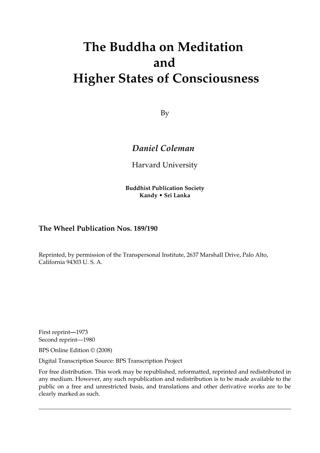# **The Buddha on Meditation and Higher States of Consciousness**

By

*Daniel Coleman* 

Harvard University

**Buddhist Publication Society Kandy • Sri Lanka**

#### **The Wheel Publication Nos. 189/190**

Reprinted, by permission of the Transpersonal Institute, 2637 Marshall Drive, Palo Alto, California 94303 U. S. A.

First reprint**—**1973 Second reprint—1980

BPS Online Edition © (2008)

Digital Transcription Source: BPS Transcription Project

For free distribution. This work may be republished, reformatted, reprinted and redistributed in any medium. However, any such republication and redistribution is to be made available to the public on a free and unrestricted basis, and translations and other derivative works are to be clearly marked as such.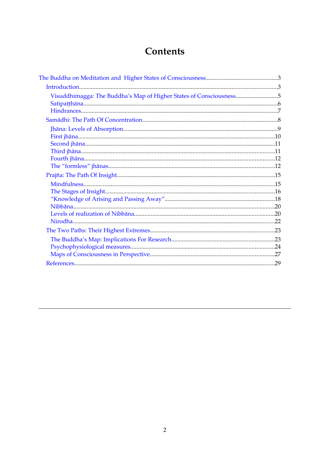# <span id="page-1-0"></span>**Contents**

| Visuddhimagga: The Buddha's Map of Higher States of Consciousness5 |  |
|--------------------------------------------------------------------|--|
|                                                                    |  |
|                                                                    |  |
|                                                                    |  |
|                                                                    |  |
|                                                                    |  |
|                                                                    |  |
|                                                                    |  |
|                                                                    |  |
|                                                                    |  |
|                                                                    |  |
|                                                                    |  |
|                                                                    |  |
|                                                                    |  |
|                                                                    |  |
|                                                                    |  |
|                                                                    |  |
|                                                                    |  |
|                                                                    |  |
|                                                                    |  |
|                                                                    |  |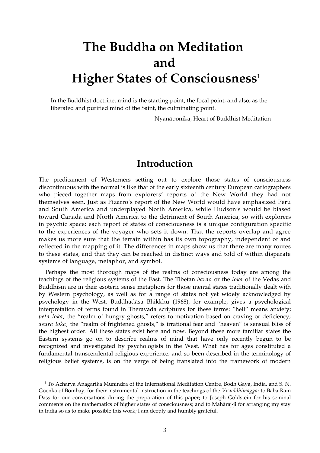# <span id="page-2-1"></span>**The Buddha on Meditation and Higher States of Consciousness[1](#page-2-2)**

In the Buddhist doctrine, mind is the starting point, the focal point, and also, as the liberated and purified mind of the Saint, the culminating point.

Nyanāponika, Heart of Buddhist Meditation

## <span id="page-2-0"></span>**Introduction**

The predicament of Westerners setting out to explore those states of consciousness discontinuous with the normal is like that of the early sixteenth century European cartographers who pieced together maps from explorers' reports of the New World they had not themselves seen. Just as Pizarro's report of the New World would have emphasized Peru and South America and underplayed North America, while Hudson's would be biased toward Canada and North America to the detriment of South America, so with explorers in psychic space: each report of states of consciousness is a unique configuration specific to the experiences of the voyager who sets it down. That the reports overlap and agree makes us more sure that the terrain within has its own topography, independent of and reflected in the mapping of it. The differences in maps show us that there are many routes to these states, and that they can be reached in distinct ways and told of within disparate systems of language, metaphor, and symbol.

Perhaps the most thorough maps of the realms of consciousness today are among the teachings of the religious systems of the East. The Tibetan *bardo* or the *loka* of the Vedas and Buddhism are in their esoteric sense metaphors for those mental states traditionally dealt with by Western psychology, as well as for a range of states not yet widely acknowledged by psychology in the West. Buddhadāsa Bhikkhu (1968), for example, gives a psychological interpretation of terms found in Theravada scriptures for these terms: "hell" means anxiety; *peta loka*, the "realm of hungry ghosts," refers to motivation based on craving or deficiency; *asura loka*, the "realm of frightened ghosts," is irrational fear and "heaven" is sensual bliss of the highest order. All these states exist here and now. Beyond these more familiar states the Eastern systems go on to describe realms of mind that have only recently begun to be recognized and investigated by psychologists in the West. What has for ages constituted a fundamental transcendental religious experience, and so been described in the terminology of religious belief systems, is on the verge of being translated into the framework of modern

<span id="page-2-2"></span> $1$  To Acharya Anagarika Munindra of the International Meditation Centre, Bodh Gaya, India, and S. N. Goenka of Bombay, for their instrumental instruction in the teachings of the *Visuddhimagga;* to Baba Ram Dass for our conversations during the preparation of this paper**;** to Joseph Goldstein for his seminal comments on the mathematics of higher states of consciousness; and to Mahāraj-ji for arranging my stay in India so as to make possible this work; I am deeply and humbly grateful.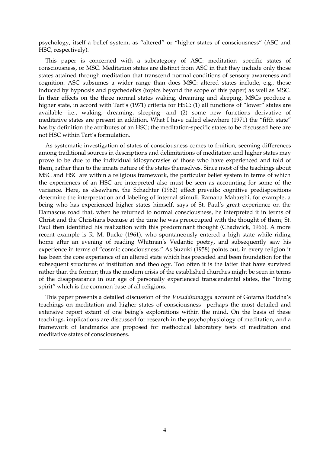psychology, itself a belief system, as "altered" or "higher states of consciousness" (ASC and HSC, respectively).

This paper is concerned with a subcategory of ASC: meditation—specific states of consciousness, or MSC. Meditation states are distinct from ASC in that they include only those states attained through meditation that transcend normal conditions of sensory awareness and cognition. ASC subsumes a wider range than does MSC: altered states include, e.g., those induced by hypnosis and psychedelics (topics beyond the scope of this paper) as well as MSC. In their effects on the three normal states waking, dreaming and sleeping, MSCs produce a higher state, in accord with Tart's (1971) criteria for HSC: (1) all functions of "lower" states are available—i.e., waking, dreaming, sleeping—and (2) some new functions derivative of meditative states are present in addition. What I have called elsewhere (1971) the "fifth state" has by definition the attributes of an HSC; the meditation-specific states to be discussed here are not HSC within Tart's formulation.

As systematic investigation of states of consciousness comes to fruition, seeming differences among traditional sources in descriptions and delimitations of meditation and higher states may prove to be due to the individual idiosyncrasies of those who have experienced and told of them, rather than to the innate nature of the states themselves. Since most of the teachings about MSC and HSC are within a religious framework, the particular belief system in terms of which the experiences of an HSC are interpreted also must be seen as accounting for some of the variance. Here, as elsewhere, the Schachter (1962) effect prevails: cognitive predispositions determine the interpretation and labeling of internal stimuli. Rāmana Mahārshi, for example, a being who has experienced higher states himself, says of St. Paul's great experience on the Damascus road that, when he returned to normal consciousness, he interpreted it in terms of Christ and the Christians because at the time he was preoccupied with the thought of them; St. Paul then identified his realization with this predominant thought (Chadwick, 1966). A more recent example is R. M. Bucke (1961), who spontaneously entered a high state while riding home after an evening of reading Whitman's Vedantic poetry, and subsequently saw his experience in terms of "cosmic consciousness." As Suzuki (1958) points out, in every religion it has been the core experience of an altered state which has preceded and been foundation for the subsequent structures of institution and theology. Too often it is the latter that have survived rather than the former; thus the modern crisis of the established churches might be seen in terms of the disappearance in our age of personally experienced transcendental states, the "living spirit" which is the common base of all religions.

This paper presents a detailed discussion of the *Visuddhimagga* account of Gotama Buddha's teachings on meditation and higher states of consciousness—perhaps the most detailed and extensive report extant of one being's explorations within the mind. On the basis of these teachings, implications are discussed for research in the psychophysiology of meditation, and a framework of landmarks are proposed for methodical laboratory tests of meditation and meditative states of consciousness.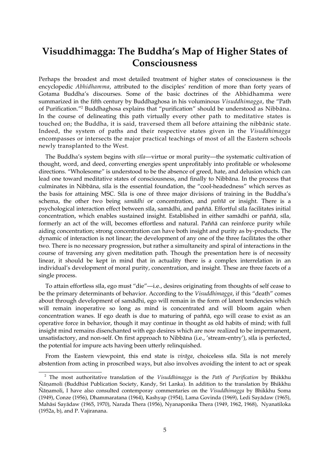# **Visuddhimagga: The Buddha's Map of Higher States of Consciousness**

Perhaps the broadest and most detailed treatment of higher states of consciousness is the encyclopedic *Abhidhamma*, attributed to the disciples' rendition of more than forty years of Gotama Buddha's discourses. Some of the basic doctrines of the Abhidhamma were summarized in the fifth century by Buddhaghosa in his voluminous *Visuddhimagga*, the "Path of Purification."[2](#page-4-0) Buddhaghosa explains that "purification" should be understood as Nibbāna. In the course of delineating this path virtually every other path to meditative states is touched on; the Buddha, it is said, traversed them all before attaining the nibbānic state. Indeed, the system of paths and their respective states given in the *Visuddhimagga* encompasses or intersects the major practical teachings of most of all the Eastern schools newly transplanted to the West.

The Buddha's system begins with *sīla*—virtue or moral purity—the systematic cultivation of thought, word, and deed, converting energies spent unprofitably into profitable or wholesome directions. "Wholesome" is understood to be the absence of greed, hate, and delusion which can lead one toward meditative states of consciousness, and finally to Nibbāna. In the process that culminates in Nibbāna, sīla is the essential foundation, the "cool-headedness" which serves as the basis for attaining MSC. Sīla is one of three major divisions of training in the Buddha's schema, the other two being *samādhi* or concentration, and *paññā* or insight. There is a psychological interaction effect between sīla, samādhi, and paññā. Effortful sīla facilitates initial concentration, which enables sustained insight. Established in either samādhi or paññā, sīla, formerly an act of the will, becomes effortless and natural. Paññā can reinforce purity while aiding concentration; strong concentration can have both insight and purity as by-products. The dynamic of interaction is not linear; the development of any one of the three facilitates the other two. There is no necessary progression, but rather a simultaneity and spiral of interactions in the course of traversing any given meditation path. Though the presentation here is of necessity linear, it should be kept in mind that in actuality there is a complex interrelation in an individual's development of moral purity, concentration, and insight. These are three facets of a single process.

To attain effortless sīla, ego must "die"—i.e., desires originating from thoughts of self cease to be the primary determinants of behavior. According to the *Visuddhimagga*, if this "death" comes about through development of samādhi, ego will remain in the form of latent tendencies which will remain inoperative so long as mind is concentrated and will bloom again when concentration wanes. If ego death is due to maturing of paññā, ego will cease to exist as an operative force in behavior, though it may continue in thought as old habits of mind; with full insight mind remains disenchanted with ego desires which are now realized to be impermanent, unsatisfactory, and non-self. On first approach to Nibbāna (i.e., 'stream-entry'), sīla is perfected, the potential for impure acts having been utterly relinquished.

From the Eastern viewpoint, this end state is *virāga*, choiceless sīla. Sīla is not merely abstention from acting in proscribed ways, but also involves avoiding the intent to act or speak

<span id="page-4-0"></span><sup>2</sup> The most authoritative translation of the *Visuddhimagga* is the *Path of Purification* by Bhikkhu Ñāṇamoli (Buddhist Publication Society, Kandy, Sri Lanka). In addition to the translation by Bhikkhu Ñāṇamoli, I have also consulted contemporay commentaries on the *Visuddhimagga* by Bhikkhu Soma (1949), Conze (1956), Dhammaratana (1964), Kashyap (1954), Lama Govinda (1969), Ledi Sayādaw (1965), Mahāsi Sayādaw (1965, 1970), Narada Thera (1956), Nyanaponika Thera (1949, 1962, 1968), Nyanatiloka (1952a, b), and P. Vajiranana.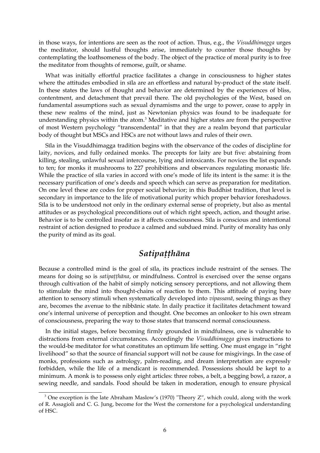in those ways, for intentions are seen as the root of action. Thus, e.g., the *Visuddhimagga* urges the meditator, should lustful thoughts arise, immediately to counter those thoughts by contemplating the loathsomeness of the body. The object of the practice of moral purity is to free the meditator from thoughts of remorse, guilt, or shame.

What was initially effortful practice facilitates a change in consciousness to higher states where the attitudes embodied in sīla are an effortless and natural by-product of the state itself. In these states the laws of thought and behavior are determined by the experiences of bliss, contentment, and detachment that prevail there. The old psychologies of the West, based on fundamental assumptions such as sexual dynamisms and the urge to power, cease to apply in these new realms of the mind, just as Newtonian physics was found to be inadequate for understanding physics within the atom.<sup>[3](#page-5-1)</sup> Meditative and higher states are from the perspective of most Western psychology "transcendental" in that they are a realm beyond that particular body of thought but MSCs and HSCs are not without laws and rules of their own.

Sīla in the Visuddhimagga tradition begins with the observance of the codes of discipline for laity, novices, and fully ordained monks. The precepts for laity are but five: abstaining from killing, stealing, unlawful sexual intercourse, lying and intoxicants. For novices the list expands to ten; for monks it mushrooms to 227 prohibitions and observances regulating monastic life. While the practice of sīla varies in accord with one's mode of life its intent is the same: it is the necessary purification of one's deeds and speech which can serve as preparation for meditation. On one level these are codes for proper social behavior; in this Buddhist tradition, that level is secondary in importance to the life of motivational purity which proper behavior foreshadows. Sīla is to be understood not only in the ordinary external sense of propriety, but also as mental attitudes or as psychological preconditions out of which right speech, action, and thought arise. Behavior is to be controlled insofar as it affects consciousness. Sīla is conscious and intentional restraint of action designed to produce a calmed and subdued mind. Purity of morality has only the purity of mind as its goal.

## <span id="page-5-0"></span>*Satipaṭṭhāna*

Because a controlled mind is the goal of sīla, its practices include restraint of the senses. The means for doing so is *satipaṭṭhāna*, or mindfulness. Control is exercised over the sense organs through cultivation of the habit of simply noticing sensory perceptions, and not allowing them to stimulate the mind into thought-chains of reaction to them. This attitude of paying bare attention to sensory stimuli when systematically developed into *vipassanā*, seeing things as they are, becomes the avenue to the nibbānic state. In daily practice it facilitates detachment toward one's internal universe of perception and thought. One becomes an onlooker to his own stream of consciousness, preparing the way to those states that transcend normal consciousness.

In the initial stages, before becoming firmly grounded in mindfulness, one is vulnerable to distractions from external circumstances. Accordingly the *Visuddhimagga* gives instructions to the would-be meditator for what constitutes an optimum life setting. One must engage in "right livelihood" so that the source of financial support will not be cause for misgivings. In the case of monks, professions such as astrology, palm-reading, and dream interpretation are expressly forbidden, while the life of a mendicant is recommended. Possessions should be kept to a minimum. A monk is to possess only eight articles: three robes, a belt, a begging bowl, a razor, a sewing needle, and sandals. Food should be taken in moderation, enough to ensure physical

<span id="page-5-1"></span> $3$  One exception is the late Abraham Maslow's (1970) "Theory Z", which could, along with the work of R. Assagioli and C. G. Jung, become for the West the cornerstone for a psychological understanding of HSC.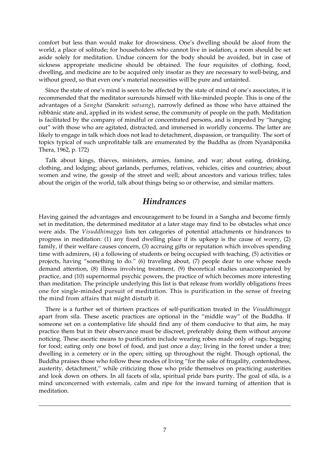comfort but less than would make for drowsiness. One's dwelling should be aloof from the world, a place of solitude; for householders who cannot live in isolation, a room should be set aside solely for meditation. Undue concern for the body should be avoided, but in case of sickness appropriate medicine should be obtained. The four requisites of clothing, food, dwelling, and medicine are to be acquired only insofar as they are necessary to well-being, and without greed, so that even one's material necessities will be pure and untainted.

Since the state of one's mind is seen to be affected by the state of mind of one's associates, it is recommended that the meditator surrounds himself with like-minded people. This is one of the advantages of a *Sangha* (Sanskrit: *satsang*), narrowly defined as those who have attained the nibbānic state and, applied in its widest sense, the community of people on the path. Meditation is facilitated by the company of mindful or concentrated persons, and is impeded by "hanging out" with those who are agitated, distracted, and immersed in worldly concerns. The latter are likely to engage in talk which does not lead to detachment, dispassion, or tranquility. The sort of topics typical of such unprofitable talk are enumerated by the Buddha as (from Nyanāponika Thera, 1962, p. 172)

Talk about kings, thieves, ministers, armies, famine, and war; about eating, drinking, clothing, and lodging; about garlands, perfumes, relatives, vehicles, cities and countries; about women and wine, the gossip of the street and well; about ancestors and various trifles; tales about the origin of the world, talk about things being so or otherwise, and similar matters.

### <span id="page-6-0"></span>*Hindrances*

Having gained the advantages and encouragement to be found in a Sangha and become firmly set in meditation, the determined meditator at a later stage may find to be obstacles what once were aids. The *Visuddhimagga* lists ten categories of potential attachments or hindrances to progress in meditation: (1) any fixed dwelling place if its upkeep is the cause of worry, (2) family, if their welfare causes concern, (3) accruing gifts or reputation which involves spending time with admirers, (4) a following of students or being occupied with teaching, (5) activities or projects, having "something to do." (6) traveling about, (7) people dear to one whose needs demand attention, (8) illness involving treatment, (9) theoretical studies unaccompanied by practice, and (10) supernormal psychic powers, the practice of which becomes more interesting than meditation. The principle underlying this list is that release from worldly obligations frees one for single-minded pursuit of meditation. This is purification in the sense of freeing the mind from affairs that might disturb it.

There is a further set of thirteen practices of self-purification treated in the *Visuddhimagga* apart from sīla. These ascetic practices are optional in the "middle way" of the Buddha. If someone set on a contemplative life should find any of them conducive to that aim, he may practice them but in their observance must be discreet, preferably doing them without anyone noticing. These ascetic means to purification include wearing robes made only of rags; begging for food; eating only one bowl of food, and just once a day; living in the forest under a tree; dwelling in a cemetery or in the open; sitting up throughout the night. Though optional, the Buddha praises those who follow these modes of living "for the sake of frugality, contentedness, austerity, detachment," while criticizing those who pride themselves on practicing austerities and look down on others. In all facets of sīla, spiritual pride bars purity. The goal of sīla, is a mind unconcerned with externals, calm and ripe for the inward turning of attention that is meditation.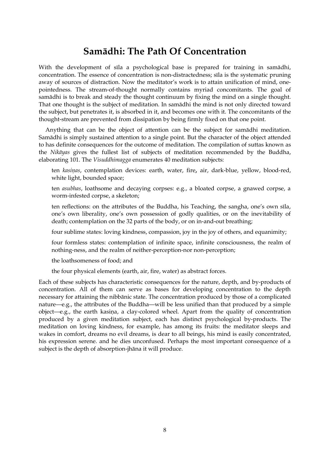## <span id="page-7-0"></span>**Samādhi: The Path Of Concentration**

With the development of sīla a psychological base is prepared for training in samādhi, concentration. The essence of concentration is non-distractedness; sīla is the systematic pruning away of sources of distraction. Now the meditator's work is to attain unification of mind, onepointedness. The stream-of-thought normally contains myriad concomitants. The goal of samādhi is to break and steady the thought continuum by fixing the mind on a single thought. That one thought is the subject of meditation. In samādhi the mind is not only directed toward the subject, but penetrates it, is absorbed in it, and becomes one with it. The concomitants of the thought-stream are prevented from dissipation by being firmly fixed on that one point.

Anything that can be the object of attention can be the subject for samādhi meditation. Samādhi is simply sustained attention to a single point. But the character of the object attended to has definite consequences for the outcome of meditation. The compilation of suttas known as the *Nikāyas* gives the fullest list of subjects of meditation recommended by the Buddha, elaborating 101. The *Visuddhimagga* enumerates 40 meditation subjects:

ten *kasiṇas*, contemplation devices: earth, water, fire**,** air, dark-blue, yellow, blood-red, white light, bounded space;

ten *asubhas*, loathsome and decaying corpses: e.g., a bloated corpse, a gnawed corpse, a worm-infested corpse, a skeleton;

ten reflections: on the attributes of the Buddha, his Teaching, the sangha, one's own sīla, one's own liberality, one's own possession of godly qualities, or on the inevitability of death; contemplation on the 32 parts of the body, or on in-and-out breathing;

four sublime states: loving kindness, compassion, joy in the joy of others, and equanimity;

four formless states: contemplation of infinite space, infinite consciousness, the realm of nothing-ness, and the realm of neither-perception-nor non-perception;

the loathsomeness of food; and

the four physical elements (earth, air, fire, water) as abstract forces.

Each of these subjects has characteristic consequences for the nature, depth, and by-products of concentration. All of them can serve as bases for developing concentration to the depth necessary for attaining the nibbānic state. The concentration produced by those of a complicated nature—e.g., the attributes of the Buddha—will be less unified than that produced by a simple object—e.g., the earth kasiṇa, a clay-colored wheel. Apart from the quality of concentration produced by a given meditation subject, each has distinct psychological by-products. The meditation on loving kindness, for example, has among its fruits: the meditator sleeps and wakes in comfort, dreams no evil dreams, is dear to all beings, his mind is easily concentrated, his expression serene. and he dies unconfused. Perhaps the most important consequence of a subject is the depth of absorption-jhāna it will produce.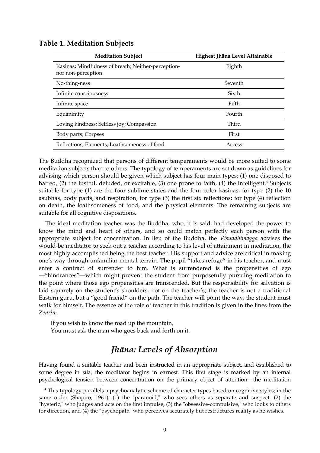<span id="page-8-0"></span>

| <b>Meditation Subject</b>                                                 | Highest Jhāna Level Attainable |
|---------------------------------------------------------------------------|--------------------------------|
| Kasinas; Mindfulness of breath; Neither-perception-<br>nor non-perception | Eighth                         |
| No-thing-ness                                                             | Seventh                        |
| Infinite consciousness                                                    | Sixth                          |
| Infinite space                                                            | Fifth                          |
| Equanimity                                                                | Fourth                         |
| Loving kindness; Selfless joy; Compassion                                 | Third                          |
| Body parts; Corpses                                                       | First                          |
| Reflections; Elements; Loathsomeness of food                              | Access                         |

#### **Table 1. Meditation Subjects**

The Buddha recognized that persons of different temperaments would be more suited to some meditation subjects than to others. The typology of temperaments are set down as guidelines for advising which person should be given which subject has four main types: (1) one disposed to hatred, (2) the lustful, deluded, or excitable, (3) one prone to faith, ([4](#page-8-2)) the intelligent.<sup>4</sup> Subjects suitable for type (1) are the four sublime states and the four color kasinas; for type (2) the 10 asubhas, body parts, and respiration; for type (3) the first six reflections; for type (4) reflection on death, the loathsomeness of food, and the physical elements. The remaining subjects are suitable for all cognitive dispositions.

The ideal meditation teacher was the Buddha, who, it is said, had developed the power to know the mind and heart of others, and so could match perfectly each person with the appropriate subject for concentration. In lieu of the Buddha, the *Visuddhimagga* advises the would-be meditator to seek out a teacher according to his level of attainment in meditation, the most highly accomplished being the best teacher. His support and advice are critical in making one's way through unfamiliar mental terrain. The pupil "takes refuge" in his teacher, and must enter a contract of surrender to him. What is surrendered is the propensities of ego —"hindrances"—which might prevent the student from purposefully pursuing meditation to the point where those ego propensities are transcended. But the responsibility for salvation is laid squarely on the student's shoulders, not on the teacher's; the teacher is not a traditional Eastern guru, but a "good friend" on the path. The teacher will point the way, the student must walk for himself. The essence of the role of teacher in this tradition is given in the lines from the *Zenrin:*

If you wish to know the road up the mountain,

You must ask the man who goes back and forth on it.

## <span id="page-8-1"></span>*Jhāna: Levels of Absorption*

Having found a suitable teacher and been instructed in an appropriate subject, and established to some degree in sīla, the meditator begins in earnest. This first stage is marked by an internal psychological tension between concentration on the primary object of attention—the meditation

<span id="page-8-2"></span><sup>4</sup> This typology parallels a psychoanalytic scheme of character types based on cognitive styles; in the same order (Shapiro, 1961): (1) the "paranoid," who sees others as separate and suspect, (2) the "hysteric," who judges and acts on the first impulse, (3) the "obsessive-compulsive," who looks to others for direction, and (4) the "psychopath" who perceives accurately but restructures reality as he wishes.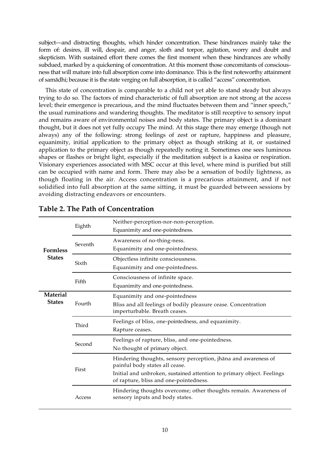subject—and distracting thoughts, which hinder concentration. These hindrances mainly take the form of: desires, ill will, despair, and anger, sloth and torpor, agitation, worry and doubt and skepticism. With sustained effort there comes the first moment when these hindrances are wholly subdued, marked by a quickening of concentration. At this moment those concomitants of consciousness that will mature into full absorption come into dominance. This is the first noteworthy attainment of samādhi; because it is the state verging on full absorption, it is called "access" concentration.

This state of concentration is comparable to a child not yet able to stand steady but always trying to do so. The factors of mind characteristic of full absorption are not strong at the access level; their emergence is precarious, and the mind fluctuates between them and "inner speech," the usual ruminations and wandering thoughts. The meditator is still receptive to sensory input and remains aware of environmental noises and body states. The primary object is a dominant thought, but it does not yet fully occupy The mind. At this stage there may emerge (though not always) any of the following: strong feelings of zest or rapture, happiness and pleasure, equanimity, initial application to the primary object as though striking at it, or sustained application to the primary object as though repeatedly noting it. Sometimes one sees luminous shapes or flashes or bright light, especially if the meditation subject is a kasiṇa or respiration. Visionary experiences associated with MSC occur at this level, where mind is purified but still can be occupied with name and form. There may also be a sensation of bodily lightness, as though floating in the air. Access concentration is a precarious attainment, and if not solidified into full absorption at the same sitting, it must be guarded between sessions by avoiding distracting endeavors or encounters.

| <b>Formless</b><br><b>States</b> | Eighth  | Neither-perception-nor-non-perception.<br>Equanimity and one-pointedness.                                                                                                                                           |
|----------------------------------|---------|---------------------------------------------------------------------------------------------------------------------------------------------------------------------------------------------------------------------|
|                                  | Seventh | Awareness of no-thing-ness.<br>Equanimity and one-pointedness.                                                                                                                                                      |
|                                  | Sixth   | Objectless infinite consciousness.<br>Equanimity and one-pointedness.                                                                                                                                               |
|                                  | Fifth   | Consciousness of infinite space.<br>Equanimity and one-pointedness.                                                                                                                                                 |
| Material<br><b>States</b>        | Fourth  | Equanimity and one-pointedness<br>Bliss and all feelings of bodily pleasure cease. Concentration<br>imperturbable. Breath ceases.                                                                                   |
|                                  | Third   | Feelings of bliss, one-pointedness, and equanimity.<br>Rapture ceases.                                                                                                                                              |
|                                  | Second  | Feelings of rapture, bliss, and one-pointedness.<br>No thought of primary object.                                                                                                                                   |
|                                  | First   | Hindering thoughts, sensory perception, jhāna and awareness of<br>painful body states all cease.<br>Initial and unbroken, sustained attention to primary object. Feelings<br>of rapture, bliss and one-pointedness. |
|                                  | Access  | Hindering thoughts overcome; other thoughts remain. Awareness of<br>sensory inputs and body states.                                                                                                                 |

#### **Table 2. The Path of Concentration**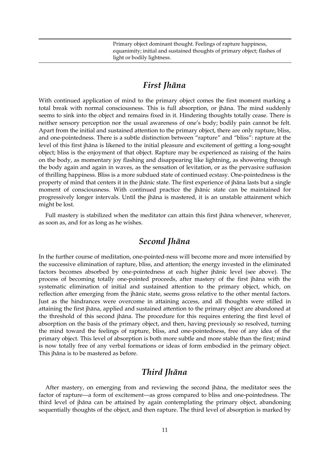## *First Jhāna*

<span id="page-10-2"></span>With continued application of mind to the primary object comes the first moment marking a total break with normal consciousness. This is full absorption, or jhāna. The mind suddenly seems to sink into the object and remains fixed in it. Hindering thoughts totally cease. There is neither sensory perception nor the usual awareness of one's body; bodily pain cannot be felt. Apart from the initial and sustained attention to the primary object, there are only rapture, bliss, and one-pointedness. There is a subtle distinction between "rapture" and "bliss": rapture at the level of this first jhāna is likened to the initial pleasure and excitement of getting a long-sought object; bliss is the enjoyment of that object. Rapture may be experienced as raising of the hairs on the body, as momentary joy flashing and disappearing like lightning, as showering through the body again and again in waves, as the sensation of levitation, or as the pervasive suffusion of thrilling happiness. Bliss is a more subdued state of continued ecstasy. One-pointedness is the property of mind that centers it in the jhānic state. The first experience of jhāna lasts but a single moment of consciousness. With continued practice the jhānic state can be maintained for progressively longer intervals. Until the jhāna is mastered, it is an unstable attainment which might be lost.

Full mastery is stabilized when the meditator can attain this first jhāna whenever, wherever, as soon as, and for as long as he wishes.

## <span id="page-10-1"></span>*Second Jhāna*

In the further course of meditation, one-pointed-ness will become more and more intensified by the successive elimination of rapture, bliss, and attention; the energy invested in the eliminated factors becomes absorbed by one-pointedness at each higher jhānic level (see above). The process of becoming totally one-pointed proceeds, after mastery of the first jhāna with the systematic elimination of initial and sustained attention to the primary object, which, on reflection after emerging from the jhānic state, seems gross relative to the other mental factors. Just as the hindrances were overcome in attaining access, and all thoughts were stilled in attaining the first jhāna, applied and sustained attention to the primary object are abandoned at the threshold of this second jhāna. The procedure for this requires entering the first level of absorption on the basis of the primary object, and then, having previously so resolved, turning the mind toward the feelings of rapture, bliss, and one-pointedness, free of any idea of the primary object. This level of absorption is both more subtle and more stable than the first; mind is now totally free of any verbal formations or ideas of form embodied in the primary object. This jhāna is to be mastered as before.

## <span id="page-10-0"></span>*Third Jhāna*

After mastery, on emerging from and reviewing the second jhāna, the meditator sees the factor of rapture—a form of excitement—as gross compared to bliss and one-pointedness. The third level of jhāna can be attained by again contemplating the primary object, abandoning sequentially thoughts of the object, and then rapture. The third level of absorption is marked by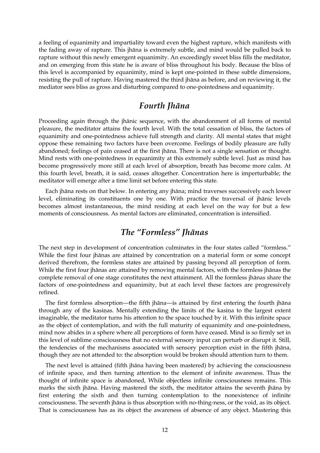a feeling of equanimity and impartiality toward even the highest rapture, which manifests with the fading away of rapture. This jhāna is extremely subtle, and mind would be pulled back to rapture without this newly emergent equanimity. An exceedingly sweet bliss fills the meditator, and on emerging from this state he is aware of bliss throughout his body. Because the bliss of this level is accompanied by equanimity, mind is kept one-pointed in these subtle dimensions, resisting the pull of rapture. Having mastered the third jhāna as before, and on reviewing it, the mediator sees bliss as gross and disturbing compared to one-pointedness and equanimity.

### <span id="page-11-1"></span>*Fourth Jhāna*

Proceeding again through the jhānic sequence, with the abandonment of all forms of mental pleasure, the meditator attains the fourth level. With the total cessation of bliss, the factors of equanimity and one-pointedness achieve full strength and clarity. All mental states that might oppose these remaining two factors have been overcome. Feelings of bodily pleasure are fully abandoned; feelings of pain ceased at the first jhāna. There is not a single sensation or thought. Mind rests with one-pointedness in equanimity at this extremely subtle level. Just as mind has become progressively more still at each level of absorption, breath has become more calm. At this fourth level, breath, it is said, ceases altogether. Concentration here is imperturbable; the meditator will emerge after a time limit set before entering this state.

Each jhāna rests on that below. In entering any jhāna; mind traverses successively each lower level, eliminating its constituents one by one. With practice the traversal of jhānic levels becomes almost instantaneous, the mind residing at each level on the way for but a few moments of consciousness. As mental factors are eliminated, concentration is intensified.

## <span id="page-11-0"></span>*The "Formless" Jhānas*

The next step in development of concentration culminates in the four states called "formless." While the first four jhānas are attained by concentration on a material form or some concept derived therefrom, the formless states are attained by passing beyond all perception of form. While the first four jhānas are attained by removing mental factors, with the formless jhānas the complete removal of one stage constitutes the next attainment. All the formless jhānas share the factors of one-pointedness and equanimity, but at each level these factors are progressively refined.

The first formless absorption—the fifth jhāna—is attained by first entering the fourth jhāna through any of the kasiṇas. Mentally extending the limits of the kasiṇa to the largest extent imaginable, the meditator turns his attention to the space touched by it. With this infinite space as the object of contemplation, and with the full maturity of equanimity and one-pointedness, mind now abides in a sphere where all perceptions of form have ceased. Mind is so firmly set in this level of sublime consciousness that no external sensory input can perturb or disrupt it. Still, the tendencies of the mechanisms associated with sensory perception exist in the fifth jhāna, though they are not attended to: the absorption would be broken should attention turn to them.

The next level is attained (fifth jhāna having been mastered) by achieving the consciousness of infinite space, and then turning attention to the element of infinite awareness. Thus the thought of infinite space is abandoned, While objectless infinite consciousness remains. This marks the sixth jhāna. Having mastered the sixth, the meditator attains the seventh jhāna by first entering the sixth and then turning contemplation to the nonexistence of infinite consciousness. The seventh jhāna is thus absorption with no-thing-ness, or the void, as its object. That is consciousness has as its object the awareness of absence of any object. Mastering this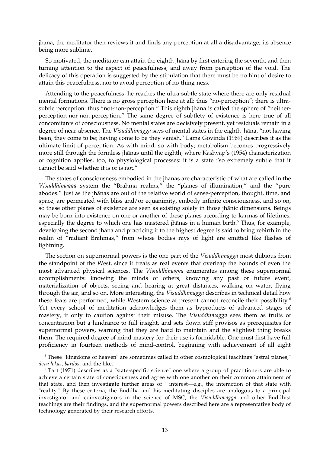jhāna, the meditator then reviews it and finds any perception at all a disadvantage, its absence being more sublime.

So motivated, the meditator can attain the eighth jhāna by first entering the seventh, and then turning attention to the aspect of peacefulness, and away from perception of the void. The delicacy of this operation is suggested by the stipulation that there must be no hint of desire to attain this peacefulness, nor to avoid perception of no-thing-ness.

Attending to the peacefulness, he reaches the ultra-subtle state where there are only residual mental formations. There is no gross perception here at all: thus "no-perception"; there is ultrasubtle perception: thus "not-non-perception." This eighth jhāna is called the sphere of "neitherperception-nor-non-perception." The same degree of subtlety of existence is here true of all concomitants of consciousness. No mental states are decisively present, yet residuals remain in a degree of near-absence. The *Visuddhimagga* says of mental states in the eighth jhāna, "not having been, they come to be; having come to be they vanish." Lama Govinda (1969) describes it as the ultimate limit of perception. As with mind, so with body; metabolism becomes progressively more still through the formless jhānas until the eighth, where Kashyap's (1954) characterization of cognition applies, too, to physiological processes: it is a state "so extremely subtle that it cannot be said whether it is or is not."

The states of consciousness embodied in the jhānas are characteristic of what are called in the *Visuddhimagga* system the "Brahma realms," the "planes of illumination," and the "pure abodes." Just as the jhānas are out of the relative world of sense-perception, thought, time, and space, are permeated with bliss and/or equanimity, embody infinite consciousness, and so on, so these other planes of existence are seen as existing solely in those jhānic dimensions. Beings may be born into existence on one or another of these planes according to karmas of lifetimes, especially the degree to which one has mastered jhānas in a human birth.<sup>[5](#page-12-0)</sup> Thus, for example, developing the second jhāna and practicing it to the highest degree is said to bring rebirth in the realm of "radiant Brahmas," from whose bodies rays of light are emitted like flashes of lightning.

The section on supernormal powers is the one part of the *Visuddhimagga* most dubious from the standpoint of the West, since it treats as real events that overleap the bounds of even the most advanced physical sciences. The *Visuddhimagga* enumerates among these supernormal accomplishments: knowing the minds of others, knowing any past or future event, materialization of objects, seeing and hearing at great distances, walking on water, flying through the air, and so on. More interesting, the *Visuddhimagga* describes in technical detail how these feats are performed, while Western science at present cannot reconcile their possibility.<sup>[6](#page-12-1)</sup> Yet every school of meditation acknowledges them as byproducts of advanced stages of mastery, if only to caution against their misuse. The *Visuddhimagga* sees them as fruits of concentration but a hindrance to full insight, and sets down stiff provisos as prerequisites for supernormal powers, warning that they are hard to maintain and the slightest thing breaks them. The required degree of mind-mastery for their use is formidable. One must first have full proficiency in fourteen methods of mind-control, beginning with achievement of all eight

<span id="page-12-0"></span><sup>&</sup>lt;sup>5</sup> These "kingdoms of heaven" are sometimes called in other cosmological teachings "astral planes," *deva lokas, bardos*, and the like.

<span id="page-12-1"></span> $6$  Tart (1971) describes as a "state-specific science" one where a group of practitioners are able to achieve a certain state of consciousness and agree with one another on their common attainment of that state, and then investigate further areas of " interest—e.g., the interaction of that state with "reality." By these criteria, the Buddha and his meditating disciples are analogous to a principal investigator and coinvestigators in the science of MSC, the *Visuddhimagga* and other Buddhist teachings are their findings, and the supernormal powers described here are a representative body of technology generated by their research efforts.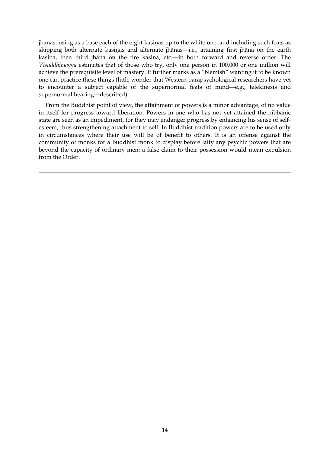jhānas, using as a base each of the eight kasiṇas up to the white one, and including such feats as skipping both alternate kasiṇas and alternate jhānas—i.e., attaining first jhāna on the earth kasiṇa, then third jhāna on the fire kasiṇa, etc.—in both forward and reverse order. The *Visuddhimagga* estimates that of those who try, only one person in 100,000 or one million will achieve the prerequisite level of mastery. It further marks as a "blemish" wanting it to be known one can practice these things (little wonder that Western parapsychological researchers have yet to encounter a subject capable of the supernormal feats of mind—e.g., telekinesis and supernormal hearing—described).

From the Buddhist point of view, the attainment of powers is a minor advantage, of no value in itself for progress toward liberation. Powers in one who has not yet attained the nibbānic state are seen as an impediment, for they may endanger progress by enhancing his sense of selfesteem, thus strengthening attachment to self. In Buddhist tradition powers are to be used only in circumstances where their use will be of benefit to others. It is an offense against the community of monks for a Buddhist monk to display before laity any psychic powers that are beyond the capacity of ordinary men; a false claim to their possession would mean expulsion from the Order.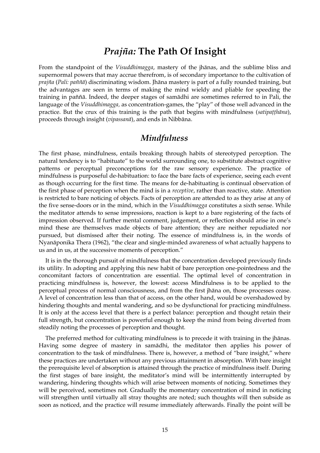## <span id="page-14-0"></span>*Prajña:* **The Path Of Insight**

From the standpoint of the *Visuddhimagga*, mastery of the jhānas, and the sublime bliss and supernormal powers that may accrue therefrom, is of secondary importance to the cultivation of *prajña* (*Pali: paññā*) discriminating wisdom. Jhāna mastery is part of a fully rounded training, but the advantages are seen in terms of making the mind wieldy and pliable for speeding the training in paññā. Indeed, the deeper stages of samādhi are sometimes referred to in Pali, the language of the *Visuddhimagga,* as concentration-games, the "play" of those well advanced in the practice. But the crux of this training is the path that begins with mindfulness (*satipaṭṭhāna*), proceeds through insight (*vipassanā*), and ends in Nibbāna.

## *Mindfulness*

The first phase, mindfulness, entails breaking through habits of stereotyped perception. The natural tendency is to "habituate" to the world surrounding one, to substitute abstract cognitive patterns or perceptual preconceptions for the raw sensory experience. The practice of mindfulness is purposeful de-habituation: to face the bare facts of experience, seeing each event as though occurring for the first time. The means for de-habituating is continual observation of the first phase of perception when the mind is in a *receptive*, rather than reactive, state. Attention is restricted to bare noticing of objects. Facts of perception are attended to as they arise at any of the five sense-doors or in the mind, which in the *Visuddhimagga* constitutes a sixth sense. While the meditator attends to sense impressions, reaction is kept to a bare registering of the facts of impression observed. If further mental comment, judgement, or reflection should arise in one's mind these are themselves made objects of bare attention; they are neither repudiated nor pursued, but dismissed after their noting. The essence of mindfulness is, in the words of Nyanāponika Thera (1962), "the clear and single-minded awareness of what actually happens to us and in us, at the successive moments of perception."

It is in the thorough pursuit of mindfulness that the concentration developed previously finds its utility. In adopting and applying this new habit of bare perception one-pointedness and the concomitant factors of concentration are essential. The optimal level of concentration in practicing mindfulness is, however, the lowest: access Mindfulness is to be applied to the perceptual process of normal consciousness, and from the first jhāna on, those processes cease. A level of concentration less than that of access, on the other hand, would be overshadowed by hindering thoughts and mental wandering, and so be dysfunctional for practicing mindfulness. It is only at the access level that there is a perfect balance: perception and thought retain their full strength, but concentration is powerful enough to keep the mind from being diverted from steadily noting the processes of perception and thought.

The preferred method for cultivating mindfulness is to precede it with training in the jhānas. Having some degree of mastery in samādhi, the meditator then applies his power of concentration to the task of mindfulness. There is, however, a method of "bare insight," where these practices are undertaken without any previous attainment in absorption. With bare insight the prerequisite level of absorption is attained through the practice of mindfulness itself. During the first stages of bare insight, the meditator's mind will be intermittently interrupted by wandering, hindering thoughts which will arise between moments of noticing. Sometimes they will be perceived, sometimes not. Gradually the momentary concentration of mind in noticing will strengthen until virtually all stray thoughts are noted; such thoughts will then subside as soon as noticed, and the practice will resume immediately afterwards. Finally the point will be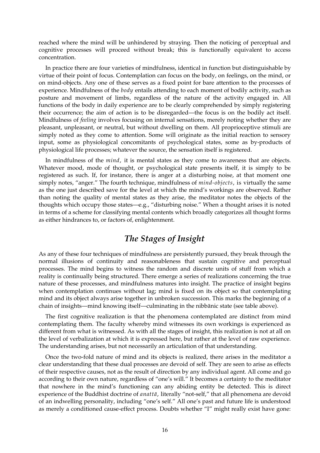reached where the mind will be unhindered by straying. Then the noticing of perceptual and cognitive processes will proceed without break; this is functionally equivalent to access concentration.

In practice there are four varieties of mindfulness, identical in function but distinguishable by virtue of their point of focus. Contemplation can focus on the body, on feelings, on the mind, or on mind-objects. Any one of these serves as a fixed point for bare attention to the processes of experience. Mindfulness of the *body* entails attending to each moment of bodily activity, such as posture and movement of limbs, regardless of the nature of the activity engaged in. All functions of the body in daily experience are to be clearly comprehended by simply registering their occurrence; the aim of action is to be disregarded—the focus is on the bodily act itself. Mindfulness of *feeling* involves focusing on internal sensations, merely noting whether they are pleasant, unpleasant, or neutral, but without dwelling on them. All proprioceptive stimuli are simply noted as they come to attention. Some will originate as the initial reaction to sensory input, some as physiological concomitants of psychological states, some as by-products of physiological life processes; whatever the source, the sensation itself is registered.

In mindfulness of the *mind*, it is mental states as they come to awareness that are objects. Whatever mood, mode of thought, or psychological state presents itself, it is simply to be registered as such. If, for instance, there is anger at a disturbing noise, at that moment one simply notes, "anger." The fourth technique, mindfulness of *mind-objects*, is virtually the same as the one just described save for the level at which the mind's workings are observed. Rather than noting the quality of mental states as they arise, the meditator notes the objects of the thoughts which occupy those states—e.g., "disturbing noise." When a thought arises it is noted in terms of a scheme for classifying mental contents which broadly categorizes all thought forms as either hindrances to, or factors of, enlightenment.

## <span id="page-15-0"></span>*The Stages of Insight*

As any of these four techniques of mindfulness are persistently pursued, they break through the normal illusions of continuity and reasonableness that sustain cognitive and perceptual processes. The mind begins to witness the random and discrete units of stuff from which a reality is continually being structured. There emerge a series of realizations concerning the true nature of these processes, and mindfulness matures into insight. The practice of insight begins when contemplation continues without lag; mind is fixed on its object so that contemplating mind and its object always arise together in unbroken succession. This marks the beginning of a chain of insights—mind knowing itself—culminating in the nibbānic state (see table above).

The first cognitive realization is that the phenomena contemplated are distinct from mind contemplating them. The faculty whereby mind witnesses its own workings is experienced as different from what is witnessed. As with all the stages of insight, this realization is not at all on the level of verbalization at which it is expressed here, but rather at the level of raw experience. The understanding arises, but not necessarily an articulation of that understanding.

Once the two-fold nature of mind and its objects is realized, there arises in the meditator a clear understanding that these dual processes are devoid of self. They are seen to arise as effects of their respective causes, not as the result of direction by any individual agent. All come and go according to their own nature, regardless of "one's will." It becomes a certainty to the meditator that nowhere in the mind's functioning can any abiding entity be detected. This is direct experience of the Buddhist doctrine of *anattā*, literally "not-self," that all phenomena are devoid of an indwelling personality, including "one's self." All one's past and future life is understood as merely a conditioned cause-effect process. Doubts whether "I" might really exist have gone: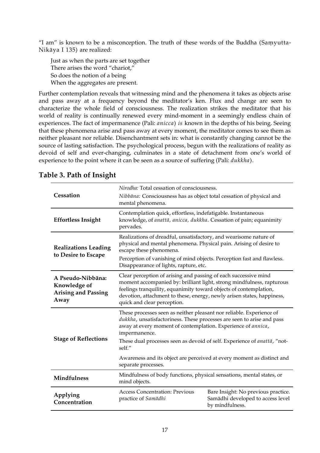"I am" is known to be a misconception. The truth of these words of the Buddha (Saṃyutta-Nikāya I 135) are realized:

Just as when the parts are set together There arises the word "chariot," So does the notion of a being When the aggregates are present.

Further contemplation reveals that witnessing mind and the phenomena it takes as objects arise and pass away at a frequency beyond the meditator's ken. Flux and change are seen to characterize the whole field of consciousness. The realization strikes the meditator that his world of reality is continually renewed every mind-moment in a seemingly endless chain of experiences. The fact of impermanence (Pali: *anicca*) *is* known in the depths of his being. Seeing that these phenomena arise and pass away at every moment, the meditator comes to see them as neither pleasant nor reliable. Disenchantment sets in: what is constantly changing cannot be the source of lasting satisfaction. The psychological process, begun with the realizations of reality as devoid of self and ever-changing, culminates in a state of detachment from one's world of experience to the point where it can be seen as a source of suffering (Pali: *dukkha*).

| Cessation                                                               | Nirodha: Total cessation of consciousness.<br>Nibbāna: Consciousness has as object total cessation of physical and<br>mental phenomena.                                                                                                                                                                                |                                                                                             |  |
|-------------------------------------------------------------------------|------------------------------------------------------------------------------------------------------------------------------------------------------------------------------------------------------------------------------------------------------------------------------------------------------------------------|---------------------------------------------------------------------------------------------|--|
| <b>Effortless Insight</b>                                               | Contemplation quick, effortless, indefatigable. Instantaneous<br>knowledge, of anattā, anicca, dukkha. Cessation of pain; equanimity<br>pervades.                                                                                                                                                                      |                                                                                             |  |
| <b>Realizations Leading</b><br>to Desire to Escape                      | Realizations of dreadful, unsatisfactory, and wearisome nature of<br>physical and mental phenomena. Physical pain. Arising of desire to<br>escape these phenomena.                                                                                                                                                     |                                                                                             |  |
|                                                                         | Perception of vanishing of mind objects. Perception fast and flawless.<br>Disappearance of lights, rapture, etc.                                                                                                                                                                                                       |                                                                                             |  |
| A Pseudo-Nibbāna:<br>Knowledge of<br><b>Arising and Passing</b><br>Away | Clear perception of arising and passing of each successive mind<br>moment accompanied by: brilliant light, strong mindfulness, rapturous<br>feelings tranquility, equanimity toward objects of contemplation,<br>devotion, attachment to these, energy, newly arisen states, happiness,<br>quick and clear perception. |                                                                                             |  |
| <b>Stage of Reflections</b>                                             | These processes seen as neither pleasant nor reliable. Experience of<br>dukkha, unsatisfactoriness. These processes are seen to arise and pass<br>away at every moment of contemplation. Experience of annica,<br>impermanence.                                                                                        |                                                                                             |  |
|                                                                         | These dual processes seen as devoid of self. Experience of anattā, "not-<br>self."                                                                                                                                                                                                                                     |                                                                                             |  |
|                                                                         | Awareness and its object are perceived at every moment as distinct and<br>separate processes.                                                                                                                                                                                                                          |                                                                                             |  |
| <b>Mindfulness</b>                                                      | Mindfulness of body functions, physical sensations, mental states, or<br>mind objects.                                                                                                                                                                                                                                 |                                                                                             |  |
| Applying<br>Concentration                                               | <b>Access Concentration: Previous</b><br>practice of Samādhi                                                                                                                                                                                                                                                           | Bare Insight: No previous practice.<br>Samādhi developed to access level<br>by mindfulness. |  |

#### **Table 3. Path of Insight**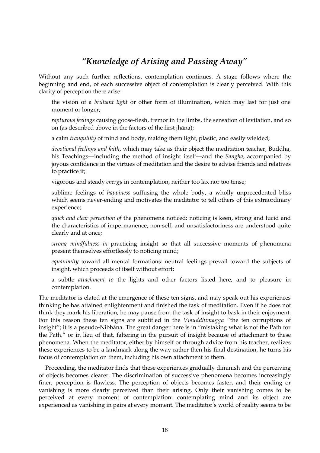## <span id="page-17-0"></span>*"Knowledge of Arising and Passing Away"*

Without any such further reflections, contemplation continues. A stage follows where the beginning and end, of each successive object of contemplation is clearly perceived. With this clarity of perception there arise:

the vision of a *brilliant light* or other form of illumination, which may last for just one moment or longer;

*rapturous feelings* causing goose-flesh, tremor in the limbs, the sensation of levitation, and so on (as described above in the factors of the first jhāna);

a calm *tranquility* of mind and body, making them light, plastic, and easily wielded;

*devotional feelings and faith*, which may take as their object the meditation teacher, Buddha, his Teachings—including the method of insight itself—and the *Sangha*, accompanied by joyous confidence in the virtues of meditation and the desire to advise friends and relatives to practice it;

vigorous and steady *energy* in contemplation, neither too lax nor too tense;

sublime feelings of *happiness* suffusing the whole body, a wholly unprecedented bliss which seems never-ending and motivates the meditator to tell others of this extraordinary experience;

*quick and clear perception of* the phenomena noticed: noticing is keen, strong and lucid and the characteristics of impermanence, non-self, and unsatisfactoriness are understood quite clearly and at once;

*strong mindfulness in* practicing insight so that all successive moments of phenomena present themselves effortlessly to noticing mind;

*equanimity* toward all mental formations: neutral feelings prevail toward the subjects of insight, which proceeds of itself without effort;

a subtle *attachment to* the lights and other factors listed here, and to pleasure in contemplation.

The meditator is elated at the emergence of these ten signs, and may speak out his experiences thinking he has attained enlightenment and finished the task of meditation. Even if he does not think they mark his liberation, he may pause from the task of insight to bask in their enjoyment. For this reason these ten signs are subtitled in the *Visuddhimagga* "the ten corruptions of insight"; it is a pseudo-Nibbāna. The great danger here is in "mistaking what is not the Path for the Path." or in lieu of that, faltering in the pursuit of insight because of attachment to these phenomena. When the meditator, either by himself or through advice from his teacher, realizes these experiences to be a landmark along the way rather then his final destination, he turns his focus of contemplation on them, including his own attachment to them.

Proceeding, the meditator finds that these experiences gradually diminish and the perceiving of objects becomes clearer. The discrimination of successive phenomena becomes increasingly finer; perception is flawless. The perception of objects becomes faster, and their ending or vanishing is more clearly perceived than their arising. Only their vanishing comes to be perceived at every moment of contemplation: contemplating mind and its object are experienced as vanishing in pairs at every moment. The meditator's world of reality seems to be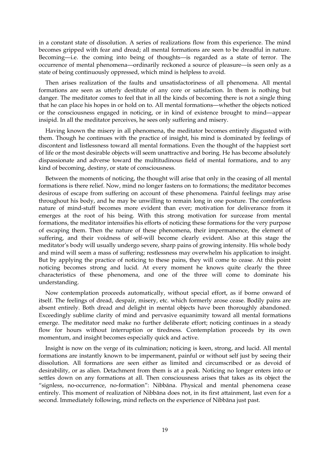in a constant state of dissolution. A series of realizations flow from this experience. The mind becomes gripped with fear and dread; all mental formations are seen to be dreadful in nature. Becoming—i.e. the coming into being of thoughts—is regarded as a state of terror. The occurrence of mental phenomena—ordinarily reckoned a source of pleasure—is seen only as a state of being continuously oppressed, which mind is helpless to avoid.

Then arises realization of the faults and unsatisfactoriness of all phenomena. All mental formations are seen as utterly destitute of any core or satisfaction. In them is nothing but danger. The meditator comes to feel that in all the kinds of becoming there is not a single thing that he can place his hopes in or hold on to. All mental formations—whether the objects noticed or the consciousness engaged in noticing, or in kind of existence brought to mind—appear insipid. In all the meditator perceives, he sees only suffering and misery.

Having known the misery in all phenomena, the meditator becomes entirely disgusted with them. Though he continues with the practice of insight, his mind is dominated by feelings of discontent and listlessness toward all mental formations. Even the thought of the happiest sort of life or the most desirable objects will seem unattractive and boring. He has become absolutely dispassionate and adverse toward the multitudinous field of mental formations, and to any kind of becoming, destiny, or state of consciousness.

Between the moments of noticing, the thought will arise that only in the ceasing of all mental formations is there relief. Now, mind no longer fastens on to formations; the meditator becomes desirous of escape from suffering on account of these phenomena. Painful feelings may arise throughout his body, and he may be unwilling to remain long in one posture. The comfortless nature of mind-stuff becomes more evident than ever; motivation for deliverance from it emerges at the root of his being. With this strong motivation for surcease from mental formations, the meditator intensifies his efforts of noticing these formations for the very purpose of escaping them. Then the nature of these phenomena, their impermanence, the element of suffering, and their voidness of self-will become clearly evident. Also at this stage the meditator's body will usually undergo severe, sharp pains of growing intensity. His whole body and mind will seem a mass of suffering; restlessness may overwhelm his application to insight. But by applying the practice of noticing to these pains, they will come to cease. At this point noticing becomes strong and lucid. At every moment he knows quite clearly the three characteristics of these phenomena, and one of the three will come to dominate his understanding.

Now contemplation proceeds automatically, without special effort, as if borne onward of itself. The feelings of dread, despair, misery, etc. which formerly arose cease. Bodily pains are absent entirely. Both dread and delight in mental objects have been thoroughly abandoned. Exceedingly sublime clarity of mind and pervasive equanimity toward all mental formations emerge. The meditator need make no further deliberate effort; noticing continues in a steady flow for hours without interruption or tiredness. Contemplation proceeds by its own momentum, and insight becomes especially quick and active.

Insight is now on the verge of its culmination; noticing is keen, strong, and lucid. All mental formations are instantly known to be impermanent, painful or without self just by seeing their dissolution. All formations are seen either as limited and circumscribed or as devoid of desirability, or as alien. Detachment from them is at a peak. Noticing no longer enters into or settles down on any formations at all. Then consciousness arises that takes as its object the "signless, no-occurrence, no-formation": Nibbāna. Physical and mental phenomena cease entirely. This moment of realization of Nibbāna does not, in its first attainment, last even for a second. Immediately following, mind reflects on the experience of Nibbāna just past.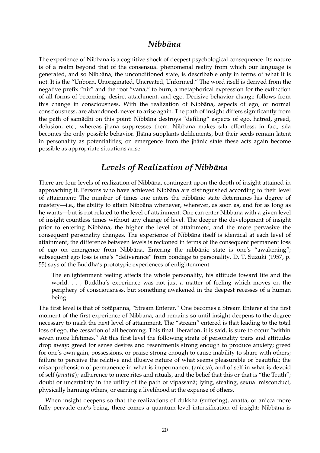#### <span id="page-19-1"></span>*Nibbāna*

The experience of Nibbāna is a cognitive shock of deepest psychological consequence. Its nature is of a realm beyond that of the consensual phenomenal reality from which our language is generated, and so Nibbāna, the unconditioned state, is describable only in terms of what it is not. It is the "Unborn, Unoriginated, Uncreated, Unformed." The word itself is derived from the negative prefix "nir" and the root "vana," to burn, a metaphorical expression for the extinction of all forms of becoming: desire, attachment, and ego. Decisive behavior change follows from this change in consciousness. With the realization of Nibbāna, aspects of ego, or normal consciousness, are abandoned, never to arise again. The path of insight differs significantly from the path of samādhi on this point: Nibbāna destroys "defiling" aspects of ego, hatred, greed, delusion, etc., whereas jhāna suppresses them. Nibbāna makes sīla effortless; in fact, sīla becomes the only possible behavior. Jhāna supplants defilements, but their seeds remain latent in personality as potentialities; on emergence from the jhānic state these acts again become possible as appropriate situations arise.

## <span id="page-19-0"></span>*Levels of Realization of Nibbāna*

There are four levels of realization of Nibbāna, contingent upon the depth of insight attained in approaching it. Persons who have achieved Nibbāna are distinguished according to their level of attainment: The number of times one enters the nibbānic state determines his degree of mastery—i.e., the ability to attain Nibbāna whenever, wherever, as soon as, and for as long as he wants—but is not related to the level of attainment. One can enter Nibbāna with a given level of insight countless times without any change of level. The deeper the development of insight prior to entering Nibbāna, the higher the level of attainment, and the more pervasive the consequent personality changes. The experience of Nibbāna itself is identical at each level of attainment; the difference between levels is reckoned in terms of the consequent permanent loss of ego on emergence from Nibbāna. Entering the nibbānic state is one's "awakening"; subsequent ego loss is one's "deliverance" from bondage to personality. D. T. Suzuki (1957, p. 55) says of the Buddha's prototypic experiences of enlightenment:

The enlightenment feeling affects the whole personality, his attitude toward life and the world. . . , Buddha's experience was not just a matter of feeling which moves on the periphery of consciousness, but something awakened in the deepest recesses of a human being.

The first level is that of Sotāpanna, "Stream Enterer." One becomes a Stream Enterer at the first moment of the first experience of Nibbāna, and remains so until insight deepens to the degree necessary to mark the next level of attainment. The "stream" entered is that leading to the total loss of ego, the cessation of all becoming. This final liberation, it is said, is sure to occur "within seven more lifetimes." At this first level the following strata of personality traits and attitudes drop away: greed for sense desires and resentments strong enough to produce anxiety; greed for one's own gain, possessions, or praise strong enough to cause inability to share with others; failure to perceive the relative and illusive nature of what seems pleasurable or beautiful; the misapprehension of permanence in what is impermanent (anicca); and of self in what is devoid of self (*anattā*)*;* adherence to mere rites and rituals, and the belief that this or that is "the Truth"; doubt or uncertainty in the utility of the path of vipassanā; lying, stealing, sexual misconduct, physically harming others, or earning a livelihood at the expense of others.

When insight deepens so that the realizations of dukkha (suffering), anattā, or anicca more fully pervade one's being, there comes a quantum-level intensification of insight: Nibbāna is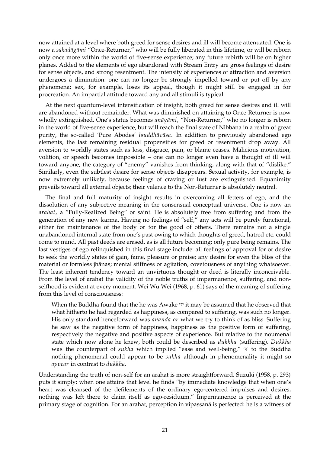now attained at a level where both greed for sense desires and ill will become attenuated. One is now a *sakadāgāmi* "Once-Returner," who will be fully liberated in this lifetime, or will be reborn only once more within the world of five-sense experience; any future rebirth will be on higher planes. Added to the elements of ego abandoned with Stream Entry are gross feelings of desire for sense objects, and strong resentment. The intensity of experiences of attraction and aversion undergoes a diminution: one can no longer be strongly impelled toward or put off by any phenomena; sex, for example, loses its appeal, though it might still be engaged in for procreation. An impartial attitude toward any and all stimuli is typical.

At the next quantum-level intensification of insight, both greed for sense desires and ill will are abandoned without remainder. What was diminished on attaining to Once-Returner is now wholly extinguished. One's status becomes *anāgāmi*, "Non-Returner," who no longer is reborn in the world of five-sense experience, but will reach the final state of Nibbāna in a realm of great purity, the so-called 'Pure Abodes' *lsuddhāvāsa*. In addition to previously abandoned ego elements, the last remaining residual propensities for greed or resentment drop away. All aversion to worldly states such as loss, disgrace, pain, or blame ceases. Malicious motivation, volition, or speech becomes impossible – one can no longer even have a thought of ill will toward anyone; the category of "enemy" vanishes from thinking, along with that of "dislike." Similarly, even the subtlest desire for sense objects disappears. Sexual activity, for example, is now extremely unlikely, because feelings of craving or lust are extinguished. Equanimity prevails toward all external objects; their valence to the Non-Returner is absolutely neutral.

The final and full maturity of insight results in overcoming all fetters of ego, and the dissolution of any subjective meaning in the consensual conceptual universe. One is now an *arahat*, a "Fully-Realized Being" or saint. He is absolutely free from suffering and from the generation of any new karma. Having no feelings of "self," any acts will be purely functional, either for maintenance of the body or for the good of others. There remains not a single unabandoned internal state from one's past owing to which thoughts of greed, hatred etc. could come to mind. All past deeds are erased, as is all future becoming; only pure being remains. The last vestiges of ego relinquished in this final stage include: all feelings of approval for or desire to seek the worldly states of gain, fame, pleasure or praise; any desire for even the bliss of the material or formless jhānas; mental stiffness or agitation, covetousness of anything whatsoever. The least inherent tendency toward an unvirtuous thought or deed is literally inconceivable. From the level of arahat the validity of the noble truths of impermanence, suffering, and nonselfhood is evident at every moment. Wei Wu Wei (1968, p. 61) says of the meaning of suffering from this level of consciousness:

When the Buddha found that the he was Awake ಞ it may be assumed that he observed that what hitherto he had regarded as happiness, as compared to suffering, was such no longer. His only standard henceforward was *ananda or* what we try to think of as bliss. Suffering he saw as the negative form of happiness, happiness as the positive form of suffering, respectively the negative and positive aspects of experience. But relative to the noumenal state which now alone he knew, both could be described as *dukkha* (suffering). *Dukkha* was the counterpart of *sukha* which implied "ease and well-being," ಞ to the Buddha nothing phenomenal could appear to be *sukha* although in phenomenality it might so *appear* in contrast to *dukkha.*

Understanding the truth of non-self for an arahat is more straightforward. Suzuki (1958, p. 293) puts it simply: when one attains that level he finds "by immediate knowledge that when one's heart was cleansed of the defilements of the ordinary ego-centered impulses and desires, nothing was left there to claim itself as ego-residuum." Impermanence is perceived at the primary stage of cognition. For an arahat, perception in vipassanā is perfected: he is a witness of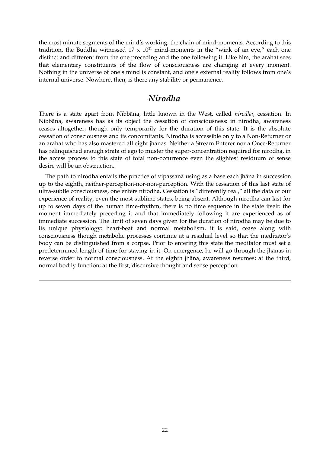the most minute segments of the mind's working, the chain of mind-moments. According to this tradition, the Buddha witnessed  $17 \times 10^{21}$  mind-moments in the "wink of an eye," each one distinct and different from the one preceding and the one following it. Like him, the arahat sees that elementary constituents of the flow of consciousness are changing at every moment. Nothing in the universe of one's mind is constant, and one's external reality follows from one's internal universe. Nowhere, then, is there any stability or permanence.

#### <span id="page-21-0"></span>*Nirodha*

There is a state apart from Nibbāna, little known in the West, called *nirodha*, cessation. In Nibbāna, awareness has as its object the cessation of consciousness: in nirodha, awareness ceases altogether, though only temporarily for the duration of this state. It is the absolute cessation of consciousness and its concomitants. Nirodha is accessible only to a Non-Returner or an arahat who has also mastered all eight jhānas. Neither a Stream Enterer nor a Once-Returner has relinquished enough strata of ego to muster the super-concentration required for nirodha, in the access process to this state of total non-occurrence even the slightest residuum of sense desire will be an obstruction.

The path to nirodha entails the practice of vipassanā using as a base each jhāna in succession up to the eighth, neither-perception-nor-non-perception. With the cessation of this last state of ultra-subtle consciousness, one enters nirodha. Cessation is "differently real," all the data of our experience of reality, even the most sublime states, being absent. Although nirodha can last for up to seven days of the human time-rhythm, there is no time sequence in the state itself: the moment immediately preceding it and that immediately following it are experienced as of immediate succession. The limit of seven days given for the duration of nirodha may be due to its unique physiology: heart-beat and normal metabolism, it is said, cease along with consciousness though metabolic processes continue at a residual level so that the meditator's body can be distinguished from a corpse. Prior to entering this state the meditator must set a predetermined length of time for staying in it. On emergence, he will go through the jhānas in reverse order to normal consciousness. At the eighth jhāna, awareness resumes; at the third, normal bodily function; at the first, discursive thought and sense perception.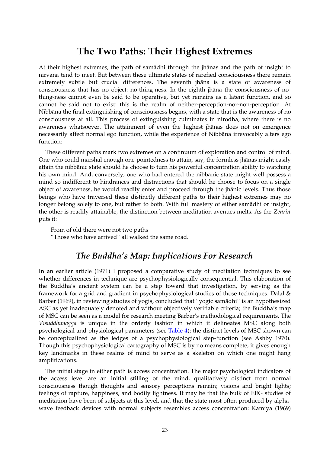## <span id="page-22-1"></span>**The Two Paths: Their Highest Extremes**

At their highest extremes, the path of samādhi through the jhānas and the path of insight to nirvana tend to meet. But between these ultimate states of rarefied consciousness there remain extremely subtle but crucial differences. The seventh jhāna is a state of awareness of consciousness that has no object: no-thing-ness. In the eighth jhāna the consciousness of nothing-ness cannot even be said to be operative, but yet remains as a latent function, and so cannot be said not to exist: this is the realm of neither-perception-nor-non-perception. At Nibbāna the final extinguishing of consciousness begins, with a state that is the awareness of no consciousness at all. This process of extinguishing culminates in nirodha, where there is no awareness whatsoever. The attainment of even the highest jhānas does not on emergence necessarily affect normal ego function, while the experience of Nibbāna irrevocably alters ego function:

These different paths mark two extremes on a continuum of exploration and control of mind. One who could marshal enough one-pointedness to attain, say, the formless jhānas might easily attain the nibbānic state should he choose to turn his powerful concentration ability to watching his own mind. And, conversely, one who had entered the nibbānic state might well possess a mind so indifferent to hindrances and distractions that should he choose to focus on a single object of awareness, he would readily enter and proceed through the jhānic levels. Thus those beings who have traversed these distinctly different paths to their highest extremes may no longer belong solely to one, but rather to both. With full mastery of either samādhi or insight, the other is readily attainable, the distinction between meditation avenues melts. As the *Zenrin* puts it:

From of old there were not two paths "Those who have arrived" all walked the same road.

## <span id="page-22-0"></span>*The Buddha's Map: Implications For Research*

In an earlier article (1971) I proposed a comparative study of meditation techniques to see whether differences in technique are psychophysiologically consequential. This elaboration of the Buddha's ancient system can be a step toward that investigation, by serving as the framework for a grid and gradient in psychophysiological studies of those techniques. Dalal & Barber (1969), in reviewing studies of yogis, concluded that "yogic samādhi" is an hypothesized ASC as yet inadequately denoted and without objectively verifiable criteria; the Buddha's map of MSC can be seen as a model for research meeting Barber's methodological requirements. The *Visuddhimagga* is unique in the orderly fashion in which it delineates MSC along both psychological and physiological parameters (see [Table 4\)](#page-24-0); the distinct levels of MSC shown can be conceptualized as the ledges of a psychophysiological step-function (see Ashby 1970). Though this psychophysiological cartography of MSC is by no means complete, it gives enough key landmarks in these realms of mind to serve as a skeleton on which one might hang amplifications.

The initial stage in either path is access concentration. The major psychological indicators of the access level are an initial stilling of the mind, qualitatively distinct from normal consciousness though thoughts and sensory perceptions remain; visions and bright lights; feelings of rapture, happiness, and bodily lightness. It may be that the bulk of EEG studies of meditation have been of subjects at this level, and that the state most often produced by alphawave feedback devices with normal subjects resembles access concentration: Kamiya (1969)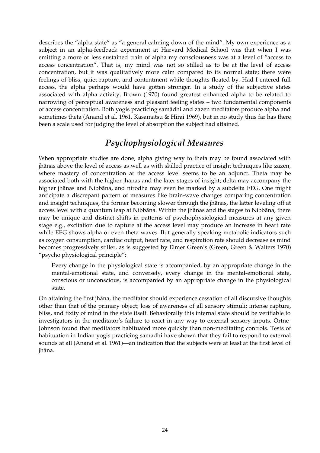describes the "alpha state" as "a general calming down of the mind". My own experience as a subject in an alpha-feedback experiment at Harvard Medical School was that when I was emitting a more or less sustained train of alpha my consciousness was at a level of "access to access concentration". That is, my mind was not so stilled as to be at the level of access concentration, but it was qualitatively more calm compared to its normal state; there were feelings of bliss, quiet rapture, and contentment while thoughts floated by. Had I entered full access, the alpha perhaps would have gotten stronger. In a study of the subjective states associated with alpha activity, Brown (1970) found greatest enhanced alpha to be related to narrowing of perceptual awareness and pleasant feeling states – two fundamental components of access concentration. Both yogis practicing samādhi and zazen meditators produce alpha and sometimes theta (Anand et al. 1961, Kasamatsu & Hirai 1969), but in no study thus far has there been a scale used for judging the level of absorption the subject had attained.

## <span id="page-23-0"></span>*Psychophysiological Measures*

When appropriate studies are done, alpha giving way to theta may be found associated with jhānas above the level of access as well as with skilled practice of insight techniques like zazen, where mastery of concentration at the access level seems to be an adjunct. Theta may be associated both with the higher jhānas and the later stages of insight; delta may accompany the higher jhānas and Nibbāna, and nirodha may even be marked by a subdelta EEG. One might anticipate a discrepant pattern of measures like brain-wave changes comparing concentration and insight techniques, the former becoming slower through the jhānas, the latter leveling off at access level with a quantum leap at Nibbāna. Within the jhānas and the stages to Nibbāna, there may be unique and distinct shifts in patterns of psychophysiological measures at any given stage e.g., excitation due to rapture at the access level may produce an increase in heart rate while EEG shows alpha or even theta waves. But generally speaking metabolic indicators such as oxygen consumption, cardiac output, heart rate, and respiration rate should decrease as mind becomes progressively stiller, as is suggested by Elmer Green's (Green, Green & Walters 1970) "psycho physiological principle":

Every change in the physiological state is accompanied, by an appropriate change in the mental-emotional state, and conversely, every change in the mental-emotional state, conscious or unconscious, is accompanied by an appropriate change in the physiological state.

On attaining the first jhāna, the meditator should experience cessation of all discursive thoughts other than that of the primary object; loss of awareness of all sensory stimuli; intense rapture, bliss, and fixity of mind in the state itself. Behaviorally this internal state should be verifiable to investigators in the meditator's failure to react in any way to external sensory inputs. Ortne-Johnson found that meditators habituated more quickly than non-meditating controls. Tests of habituation in Indian yogis practicing samādhi have shown that they fail to respond to external sounds at all (Anand et al. 1961)—an indication that the subjects were at least at the first level of jhāna.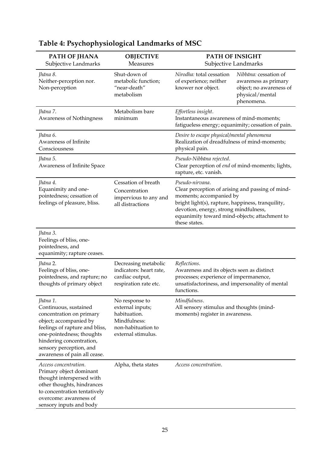| PATH OF JHANA<br>Subjective Landmarks                                                                                                                                                                                                         | <b>OBJECTIVE</b><br>Measures                                                                                   | PATH OF INSIGHT<br>Subjective Landmarks                                                                                                                                                                                                                        |                                                                                                           |
|-----------------------------------------------------------------------------------------------------------------------------------------------------------------------------------------------------------------------------------------------|----------------------------------------------------------------------------------------------------------------|----------------------------------------------------------------------------------------------------------------------------------------------------------------------------------------------------------------------------------------------------------------|-----------------------------------------------------------------------------------------------------------|
| Jhāna 8.<br>Neither-perception nor.<br>Non-perception                                                                                                                                                                                         | Shut-down of<br>metabolic function;<br>"near-death"<br>metabolism                                              | Nirodha: total cessation<br>of experience; neither<br>knower nor object.                                                                                                                                                                                       | Nibbāna: cessation of<br>awareness as primary<br>object; no awareness of<br>physical/mental<br>phenomena. |
| Jhāna 7.<br>Awareness of Nothingness                                                                                                                                                                                                          | Metabolism bare<br>minimum                                                                                     | Effortless insight.<br>Instantaneous awareness of mind-moments;<br>fatigueless energy; equanimity; cessation of pain.                                                                                                                                          |                                                                                                           |
| Jhāna 6.<br>Awareness of Infinite<br>Consciousness                                                                                                                                                                                            |                                                                                                                | Desire to escape physical/mental phenomena<br>Realization of dreadfulness of mind-moments;<br>physical pain.                                                                                                                                                   |                                                                                                           |
| Jhāna 5.<br>Awareness of Infinite Space                                                                                                                                                                                                       |                                                                                                                | Pseudo-Nibbāna rejected.<br>Clear perception of end of mind-moments; lights,<br>rapture, etc. vanish.                                                                                                                                                          |                                                                                                           |
| Jhāna 4.<br>Equanimity and one-<br>pointedness; cessation of<br>feelings of pleasure, bliss.                                                                                                                                                  | Cessation of breath<br>Concentration<br>impervious to any and<br>all distractions                              | Pseudo-nirvana.<br>Clear perception of arising and passing of mind-<br>moments; accompanied by<br>bright light(s), rapture, happiness, tranquility,<br>devotion, energy, strong mindfulness,<br>equanimity toward mind-objects; attachment to<br>these states. |                                                                                                           |
| Jhāna 3.<br>Feelings of bliss, one-<br>pointedness, and<br>equanimity; rapture ceases.                                                                                                                                                        |                                                                                                                |                                                                                                                                                                                                                                                                |                                                                                                           |
| Jhāna 2.<br>Feelings of bliss, one-<br>pointedness, and rapture; no<br>thoughts of primary object                                                                                                                                             | Decreasing metabolic<br>indicators: heart rate,<br>cardiac output,<br>respiration rate etc.                    | Reflections.<br>Awareness and its objects seen as distinct<br>processes; experience of impermanence,<br>unsatisfactoriness, and impersonality of mental<br>functions.                                                                                          |                                                                                                           |
| Jhāna 1.<br>Continuous, sustained<br>concentration on primary<br>object; accompanied by<br>feelings of rapture and bliss,<br>one-pointedness; thoughts<br>hindering concentration,<br>sensory perception, and<br>awareness of pain all cease. | No response to<br>external inputs;<br>habituation.<br>Mindfulness:<br>non-habituation to<br>external stimulus. | Mindfulness.<br>All sensory stimulus and thoughts (mind-<br>moments) register in awareness.                                                                                                                                                                    |                                                                                                           |
| Access concentration.<br>Primary object dominant<br>thought interspersed with<br>other thoughts, hindrances<br>to concentration tentatively<br>overcome: awareness of<br>sensory inputs and body                                              | Alpha, theta states                                                                                            | Access concentration.                                                                                                                                                                                                                                          |                                                                                                           |

# <span id="page-24-0"></span>**Table 4: Psychophysiological Landmarks of MSC**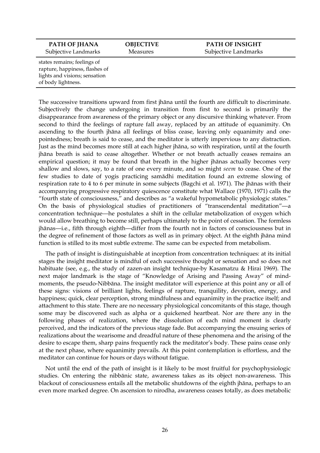| PATH OF JHANA                                                                                                        | <b>OBJECTIVE</b> | PATH OF INSIGHT      |  |
|----------------------------------------------------------------------------------------------------------------------|------------------|----------------------|--|
| Subjective Landmarks                                                                                                 | <b>Measures</b>  | Subjective Landmarks |  |
| states remains; feelings of<br>rapture, happiness, flashes of<br>lights and visions; sensation<br>of body lightness. |                  |                      |  |

The successive transitions upward from first jhāna until the fourth are difficult to discriminate. Subjectively the change undergoing in transition from first to second is primarily the disappearance from awareness of the primary object or any discursive thinking whatever. From second to third the feelings of rapture fall away, replaced by an attitude of equanimity. On ascending to the fourth jhāna all feelings of bliss cease, leaving only equanimity and onepointedness; breath is said to cease, and the meditator is utterly impervious to any distraction. Just as the mind becomes more still at each higher jhāna, so with respiration, until at the fourth jhāna breath is said to cease altogether. Whether or not breath actually ceases remains an empirical question; it may be found that breath in the higher jhānas actually becomes very shallow and slows, say, to a rate of one every minute, and so might *seem* to cease. One of the few studies to date of yogis practicing samādhi meditation found an extreme slowing of respiration rate to 4 to 6 per minute in some subjects (Bagchi et al. 1971). The jhānas with their accompanying progressive respiratory quiescence constitute what Wallace (1970, 1971) calls the "fourth state of consciousness," and describes as "a wakeful hypometabolic physiologic states." On the basis of physiological studies of practitioners of "transcendental meditation"—a concentration technique—he postulates a shift in the cellular metabolization of oxygen which would allow breathing to become still, perhaps ultimately to the point of cessation. The formless jhānas—i.e., fifth through eighth—differ from the fourth not in factors of consciousness but in the degree of refinement of those factors as well as in primary object. At the eighth jhāna mind function is stilled to its most subtle extreme. The same can be expected from metabolism.

The path of insight is distinguishable at inception from concentration techniques: at its initial stages the insight meditator is mindful of each successive thought or sensation and so does not habituate (see, e.g., the study of zazen-an insight technique-by Kasamatzu & Hirai 1969). The next major landmark is the stage of "Knowledge of Arising and Passing Away" of mindmoments, the pseudo-Nibbāna. The insight meditator will experience at this point any or all of these signs: visions of brilliant lights, feelings of rapture, tranquility, devotion, energy, and happiness; quick, clear perception, strong mindfulness and equanimity in the practice itself; and attachment to this state. There are no necessary physiological concomitants of this stage, though some may be discovered such as alpha or a quickened heartbeat. Nor are there any in the following phases of realization, where the dissolution of each mind moment is clearly perceived, and the indicators of the previous stage fade. But accompanying the ensuing series of realizations about the wearisome and dreadful nature of these phenomena and the arising of the desire to escape them, sharp pains frequently rack the meditator's body. These pains cease only at the next phase, where equanimity prevails. At this point contemplation is effortless, and the meditator can continue for hours or days without fatigue.

Not until the end of the path of insight is it likely to be most fruitful for psychophysiologic studies. On entering the nibbānic state, awareness takes as its object non-awareness. This blackout of consciousness entails all the metabolic shutdowns of the eighth jhāna, perhaps to an even more marked degree. On ascension to nirodha, awareness ceases totally, as does metabolic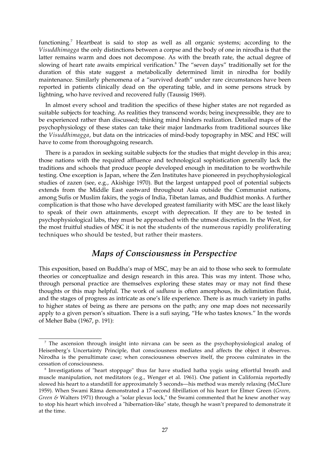functioning.<sup>[7](#page-26-1)</sup> Heartbeat is said to stop as well as all organic systems; according to the *Visuddhimagga* the only distinctions between a corpse and the body of one in nirodha is that the latter remains warm and does not decompose. As with the breath rate, the actual degree of slowing of heart rate awaits empirical verification.<sup>[8](#page-26-2)</sup> The "seven days" traditionally set for the duration of this state suggest a metabolically determined limit in nirodha for bodily maintenance. Similarly phenomena of a "survived death" under rare circumstances have been reported in patients clinically dead on the operating table, and in some persons struck by lightning, who have revived and recovered fully (Taussig 1969).

In almost every school and tradition the specifics of these higher states are not regarded as suitable subjects for teaching. As realities they transcend words; being inexpressible, they are to be experienced rather than discussed; thinking mind hinders realization. Detailed maps of the psychophysiology of these states can take their major landmarks from traditional sources like the *Visuddhimagga*, but data on the intricacies of mind-body topography in MSC and HSC will have to come from thoroughgoing research.

There is a paradox in seeking suitable subjects for the studies that might develop in this area; those nations with the required affluence and technological sophistication generally lack the traditions and schools that produce people developed enough in meditation to be worthwhile testing. One exception is Japan, where the Zen Institutes have pioneered in psychophysiological studies of zazen (see, e.g., Akishige 1970). But the largest untapped pool of potential subjects extends from the Middle East eastward throughout Asia outside the Communist nations, among Sufis or Muslim fakirs, the yogis of India, Tibetan lamas, and Buddhist monks. A further complication is that those who have developed greatest familiarity with MSC are the least likely to speak of their own attainments, except with deprecation. If they are to be tested in psychophysiological labs, they must be approached with the utmost discretion. In the West, for the most fruitful studies of MSC it is not the students of the numerous rapidly proliferating techniques who should be tested, but rather their masters.

## <span id="page-26-0"></span>*Maps of Consciousness in Perspective*

This exposition, based on Buddha's map of MSC, may be an aid to those who seek to formulate theories or conceptualize and design research in this area. This was my intent. Those who, through personal practice are themselves exploring these states may or may not find these thoughts or this map helpful. The work of *sadhana* is often amorphous, its delimitation fluid, and the stages of progress as intricate as one's life experience. There is as much variety in paths to higher states of being as there are persons on the path; any one map does not necessarily apply to a given person's situation. There is a sufi saying, "He who tastes knows." In the words of Meher Baba (1967, p. 191):

<span id="page-26-1"></span> $7$  The ascension through insight into nirvana can be seen as the psychophysiological analog of Heisenberg's Uncertainty Principle, that consciousness mediates and affects the object it observes. Nirodha is the penultimate case; when consciousness observes itself, the process culminates in the cessation of consciousness.

<span id="page-26-2"></span><sup>&</sup>lt;sup>8</sup> Investigations of "heart stoppage" thus far have studied hatha yogis using effortful breath and muscle manipulation, not meditators (e.g., Wenger et al. 1961). One patient in California reportedly slowed his heart to a standstill for approximately 5 seconds—his method was merely relaxing (McClure 1959). When Swami Rāma demonstrated a 17-second fibrillation of his heart for Elmer Green (*Green, Green &* Walters 1971) through a "solar plexus lock," the Swami commented that he knew another way to stop his heart which involved a "hibernation-like" state, though he wasn't prepared to demonstrate it at the time.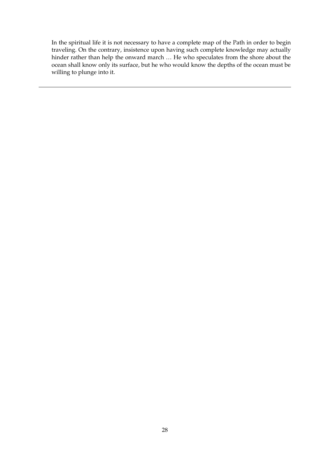In the spiritual life it is not necessary to have a complete map of the Path in order to begin traveling. On the contrary, insistence upon having such complete knowledge may actually hinder rather than help the onward march … He who speculates from the shore about the ocean shall know only its surface, but he who would know the depths of the ocean must be willing to plunge into it.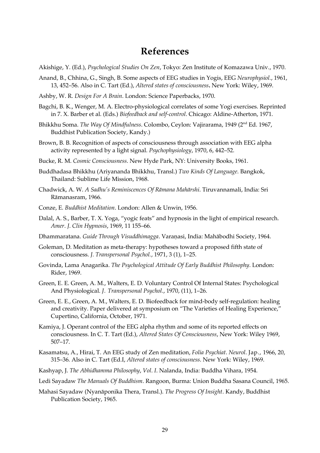## <span id="page-28-0"></span>**References**

- Akishige, Y. (Ed.), *Psychological Studies On Zen*, Tokyo: Zen Institute of Komazawa Univ., 1970.
- Anand, B., Chhina, G., Singh, B. Some aspects of EEG studies in Yogis, EEG *Neurophysiol.*, 1961, 13, 452–56. Also in C. Tart (Ed.), *Altered states of consciousness***.** New York: Wiley, 1969.
- Ashby, W. R. *Design For A Brain*. London: Science Paperbacks, 1970.
- Bagchi, B. K., Wenger, M. A. Electro-physiological correlates of some Yogi exercises. Reprinted in 7. X. Barber et al. (Eds.) *Biofeedback and self-control*. Chicago: Aldine-Atherton, 1971.
- Bhikkhu Soma. *The Way Of Mindfulness*. Colombo, Ceylon: Vajirarama, 1949 (2nd Ed. 1967, Buddhist Publication Society, Kandy.)
- Brown, B. B. Recognition of aspects of consciousness through association with EEG alpha activity represented by a light signal. *Psychophysiology*, 1970, 6, 442–52.
- Bucke, R. M. *Cosmic Consciousness*. New Hyde Park, NY: University Books, 1961.
- Buddhadasa Bhikkhu (Ariyananda Bhikkhu, Transl.) *Two Kinds Of Language*. Bangkok, Thailand: Sublime Life Mission, 1968.
- Chadwick, A. W. *A Sadhu's Reminiscences Of Rāmana Mahārshi*. Tiruvannamali, India: Sri Rāmanasram, 1966.
- Conze, E. *Buddhist Meditation*. London: Allen & Unwin, 1956.
- Dalal, A. S., Barber, T. X. Yoga, "yogic feats" and hypnosis in the light of empirical research. *Amer*. *J*. *Clin Hypnosis*, 1969, 11 155–66.
- Dhammaratana. *Guide Through Visuddhimagga*. Varaṇasi, India: Mahābodhi Society, 1964.
- Goleman, D. Meditation as meta-therapy: hypotheses toward a proposed fifth state of consciousness. *J. Transpersonal Psychol.*, 1971, 3 (1), 1–25.
- Govinda, Lama Anagarika. *The Psychological Attitude Of Early Buddhist Philosophy*. London: Rider, 1969.
- Green, E. E. Green, A. M., Walters, E. D. Voluntary Control Of Internal States: Psychological And Physiological. *J. Transpersonal Psychol.*, 1970, (11), 1–26.
- Green, E. E., Green, A. M., Walters, E. D. Biofeedback for mind-body self-regulation: healing and creativity. Paper delivered at symposium on "The Varieties of Healing Experience," Cupertino, California, October, 1971.
- Kamiya, J. Operant control of the EEG alpha rhythm and some of its reported effects on consciousness. In C. T. Tart (Ed.), *Altered States Of Consciousness*, New York: Wiley 1969, 507–17.
- Kasamatsu, A., Hirai, T. An EEG study of Zen meditation, *Folia Psychiat*. *Neurol*. Jap., 1966, 20, 315–36. Also in C. Tart (Ed.I, *Altered states of consciousness*. New York: Wiley, 1969.
- Kashyap, J. *The Abhidhamma Philosophy*, *Vol*. *I*. Nalanda, India: Buddha Vihara, 1954.
- Ledi Sayadaw *The Manuals Of Buddhism*. Rangoon, Burma: Union Buddha Sasana Council, 1965.
- Mahasi Sayadaw (Nyanāponika Thera, Transl.). *The Progress Of Insight*. Kandy, Buddhist Publication Society, 1965.